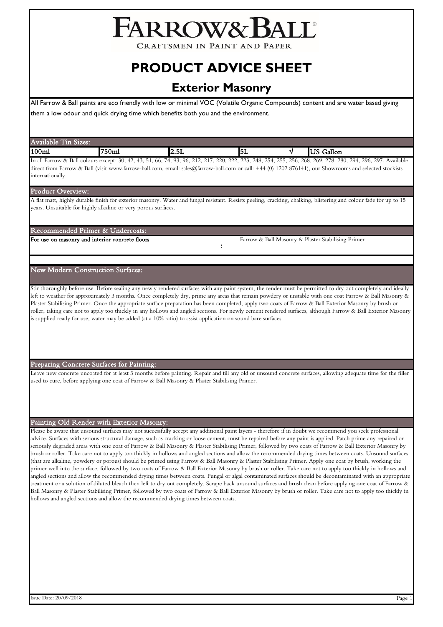# FARROW&BALL

**CRAFTSMEN IN PAINT AND PAPER** 

# **PRODUCT ADVICE SHEET**

# **Exterior Masonry**

All Farrow & Ball paints are eco friendly with low or minimal VOC (Volatile Organic Compounds) content and are water based giving them a low odour and quick drying time which benefits both you and the environment.

| Available<br>and the<br>Sizes:<br>$^{\text{1n}}$ |                   |            |           |                                |
|--------------------------------------------------|-------------------|------------|-----------|--------------------------------|
| 100m                                             | $750 \mathrm{ml}$ | --<br>2.5L | <b>5L</b> | $^{\rm -11}$<br>י זרי<br>тацоп |
|                                                  |                   |            |           |                                |

In all Farrow & Ball colours except: 30, 42, 43, 51, 66, 74, 93, 96, 212, 217, 220, 222, 223, 248, 254, 255, 256, 268, 269, 278, 280, 294, 296, 297. Available direct from Farrow & Ball (visit www.farrow-ball.com, email: sales@farrow-ball.com or call: +44 (0) 1202 876141), our Showrooms and selected stockists internationally.

### Product Overview:

A flat matt, highly durable finish for exterior masonry. Water and fungal resistant. Resists peeling, cracking, chalking, blistering and colour fade for up to 15 years. Unsuitable for highly alkaline or very porous surfaces.

:

Recommended Primer & Undercoats:

For use on masonry and interior concrete floors Farrow & Ball Masonry & Plaster Stabilising Primer

# New Modern Construction Surfaces:

Stir thoroughly before use. Before sealing any newly rendered surfaces with any paint system, the render must be permitted to dry out completely and ideally left to weather for approximately 3 months. Once completely dry, prime any areas that remain powdery or unstable with one coat Farrow & Ball Masonry & Plaster Stabilising Primer. Once the appropriate surface preparation has been completed, apply two coats of Farrow & Ball Exterior Masonry by brush or roller, taking care not to apply too thickly in any hollows and angled sections. For newly cement rendered surfaces, although Farrow & Ball Exterior Masonry is supplied ready for use, water may be added (at a 10% ratio) to assist application on sound bare surfaces.

Preparing Concrete Surfaces for Painting:

Leave new concrete uncoated for at least 3 months before painting. Repair and fill any old or unsound concrete surfaces, allowing adequate time for the filler used to cure, before applying one coat of Farrow & Ball Masonry & Plaster Stabilising Primer.

## Painting Old Render with Exterior Masonry:

Please be aware that unsound surfaces may not successfully accept any additional paint layers - therefore if in doubt we recommend you seek professional advice. Surfaces with serious structural damage, such as cracking or loose cement, must be repaired before any paint is applied. Patch prime any repaired or seriously degraded areas with one coat of Farrow & Ball Masonry & Plaster Stabilising Primer, followed by two coats of Farrow & Ball Exterior Masonry by brush or roller. Take care not to apply too thickly in hollows and angled sections and allow the recommended drying times between coats. Unsound surfaces (that are alkaline, powdery or porous) should be primed using Farrow & Ball Masonry & Plaster Stabilising Primer. Apply one coat by brush, working the primer well into the surface, followed by two coats of Farrow & Ball Exterior Masonry by brush or roller. Take care not to apply too thickly in hollows and angled sections and allow the recommended drying times between coats. Fungal or algal contaminated surfaces should be decontaminated with an appropriate treatment or a solution of diluted bleach then left to dry out completely. Scrape back unsound surfaces and brush clean before applying one coat of Farrow & Ball Masonry & Plaster Stabilising Primer, followed by two coats of Farrow & Ball Exterior Masonry by brush or roller. Take care not to apply too thickly in hollows and angled sections and allow the recommended drying times between coats.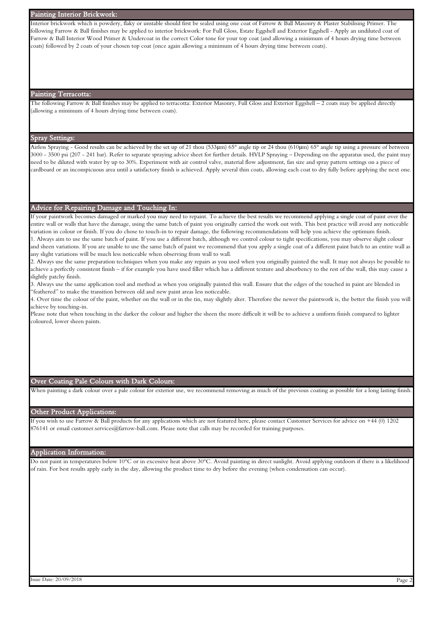#### Painting Interior Brickwork:

Interior brickwork which is powdery, flaky or unstable should first be sealed using one coat of Farrow & Ball Masonry & Plaster Stabilising Primer. The following Farrow & Ball finishes may be applied to interior brickwork: For Full Gloss, Estate Eggshell and Exterior Eggshell - Apply an undiluted coat of Farrow & Ball Interior Wood Primer & Undercoat in the correct Color tone for your top coat (and allowing a minimum of 4 hours drying time between coats) followed by 2 coats of your chosen top coat (once again allowing a minimum of 4 hours drying time between coats).

#### Painting Terracotta:

The following Farrow & Ball finishes may be applied to terracotta: Exterior Masonry, Full Gloss and Exterior Eggshell – 2 coats may be applied directly (allowing a minimum of 4 hours drying time between coats).

# Spray Settings:

Airless Spraying - Good results can be achieved by the set up of 21 thou (533μm) 65° angle tip or 24 thou (610μm) 65° angle tip using a pressure of between 3000 - 3500 psi (207 - 241 bar). Refer to separate spraying advice sheet for further details. HVLP Spraying – Depending on the apparatus used, the paint may need to be diluted with water by up to 30%. Experiment with air control valve, material flow adjustment, fan size and spray pattern settings on a piece of cardboard or an inconspicuous area until a satisfactory finish is achieved. Apply several thin coats, allowing each coat to dry fully before applying the next one.

#### Advice for Repairing Damage and Touching In:

If your paintwork becomes damaged or marked you may need to repaint. To achieve the best results we recommend applying a single coat of paint over the entire wall or walls that have the damage, using the same batch of paint you originally carried the work out with. This best practice will avoid any noticeable variation in colour or finish. If you do chose to touch-in to repair damage, the following recommendations will help you achieve the optimum finish. 1. Always aim to use the same batch of paint. If you use a different batch, although we control colour to tight specifications, you may observe slight colour and sheen variations. If you are unable to use the same batch of paint we recommend that you apply a single coat of a different paint batch to an entire wall as

any slight variations will be much less noticeable when observing from wall to wall.

2. Always use the same preparation techniques when you make any repairs as you used when you originally painted the wall. It may not always be possible to achieve a perfectly consistent finish - if for example you have used filler which has a different texture and absorbency to the rest of the wall, this may cause a slightly patchy finish.

3. Always use the same application tool and method as when you originally painted this wall. Ensure that the edges of the touched in paint are blended in "feathered" to make the transition between old and new paint areas less noticeable.

4. Over time the colour of the paint, whether on the wall or in the tin, may slightly alter. Therefore the newer the paintwork is, the better the finish you will achieve by touching-in.

Please note that when touching in the darker the colour and higher the sheen the more difficult it will be to achieve a uniform finish compared to lighter coloured, lower sheen paints.

#### Over Coating Pale Colours with Dark Colours:

When painting a dark colour over a pale colour for exterior use, we recommend removing as much of the previous coating as possible for a long lasting finish

#### Other Product Applications:

If you wish to use Farrow & Ball products for any applications which are not featured here, please contact Customer Services for advice on +44 (0) 1202 876141 or email customer.services@farrow-ball.com. Please note that calls may be recorded for training purposes.

#### Application Information:

Do not paint in temperatures below 10°C or in excessive heat above 30°C. Avoid painting in direct sunlight. Avoid applying outdoors if there is a likelihood of rain. For best results apply early in the day, allowing the product time to dry before the evening (when condensation can occur).